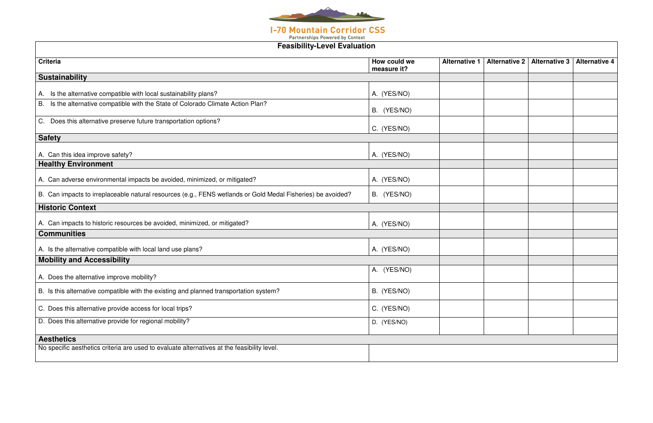

| <b>Feasibility-Level Evaluation</b>                                                                         |                             |                      |                      |                      |                      |
|-------------------------------------------------------------------------------------------------------------|-----------------------------|----------------------|----------------------|----------------------|----------------------|
| <b>Criteria</b>                                                                                             | How could we<br>measure it? | <b>Alternative 1</b> | <b>Alternative 2</b> | <b>Alternative 3</b> | <b>Alternative 4</b> |
| <b>Sustainability</b>                                                                                       |                             |                      |                      |                      |                      |
| A. Is the alternative compatible with local sustainability plans?                                           | A. (YES/NO)                 |                      |                      |                      |                      |
| Is the alternative compatible with the State of Colorado Climate Action Plan?<br>B.                         | B. (YES/NO)                 |                      |                      |                      |                      |
| C. Does this alternative preserve future transportation options?                                            | C. (YES/NO)                 |                      |                      |                      |                      |
| <b>Safety</b>                                                                                               |                             |                      |                      |                      |                      |
| A. Can this idea improve safety?                                                                            | A. (YES/NO)                 |                      |                      |                      |                      |
| <b>Healthy Environment</b>                                                                                  |                             |                      |                      |                      |                      |
| A. Can adverse environmental impacts be avoided, minimized, or mitigated?                                   | A. (YES/NO)                 |                      |                      |                      |                      |
| B. Can impacts to irreplaceable natural resources (e.g., FENS wetlands or Gold Medal Fisheries) be avoided? | B. (YES/NO)                 |                      |                      |                      |                      |
| <b>Historic Context</b>                                                                                     |                             |                      |                      |                      |                      |
| A. Can impacts to historic resources be avoided, minimized, or mitigated?                                   | A. (YES/NO)                 |                      |                      |                      |                      |
| <b>Communities</b>                                                                                          |                             |                      |                      |                      |                      |
| A. Is the alternative compatible with local land use plans?                                                 | A. (YES/NO)                 |                      |                      |                      |                      |
| <b>Mobility and Accessibility</b>                                                                           |                             |                      |                      |                      |                      |
| A. Does the alternative improve mobility?                                                                   | A. (YES/NO)                 |                      |                      |                      |                      |
| B. Is this alternative compatible with the existing and planned transportation system?                      | B. (YES/NO)                 |                      |                      |                      |                      |
| C. Does this alternative provide access for local trips?                                                    | C. (YES/NO)                 |                      |                      |                      |                      |
| D. Does this alternative provide for regional mobility?                                                     | D. (YES/NO)                 |                      |                      |                      |                      |
| <b>Aesthetics</b>                                                                                           |                             |                      |                      |                      |                      |
| No specific aesthetics criteria are used to evaluate alternatives at the feasibility level.                 |                             |                      |                      |                      |                      |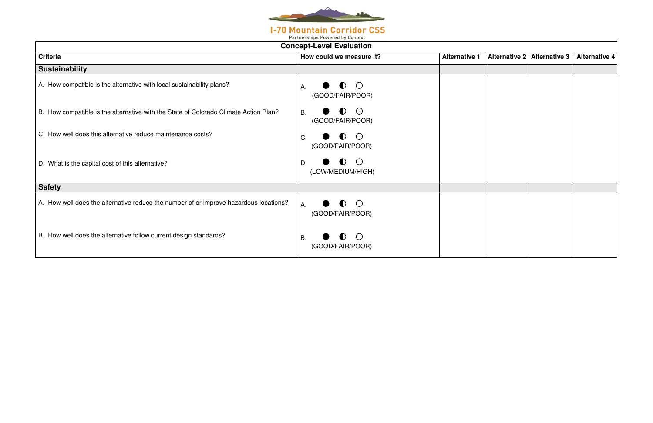

|  |  |  |  |  | <b>Partnerships Powered by Context</b> |  |
|--|--|--|--|--|----------------------------------------|--|
|  |  |  |  |  |                                        |  |

|                                                                                       | <b>Concept-Level Evaluation</b>                          |                      |  |                             |                      |  |  |
|---------------------------------------------------------------------------------------|----------------------------------------------------------|----------------------|--|-----------------------------|----------------------|--|--|
| <b>Criteria</b>                                                                       | How could we measure it?                                 | <b>Alternative 1</b> |  | Alternative 2 Alternative 3 | <b>Alternative 4</b> |  |  |
| <b>Sustainability</b>                                                                 |                                                          |                      |  |                             |                      |  |  |
| A. How compatible is the alternative with local sustainability plans?                 | $\bullet$ $\circ$<br>А.<br>(GOOD/FAIR/POOR)              |                      |  |                             |                      |  |  |
| B. How compatible is the alternative with the State of Colorado Climate Action Plan?  | $\bullet$ O<br>B.<br>(GOOD/FAIR/POOR)                    |                      |  |                             |                      |  |  |
| C. How well does this alternative reduce maintenance costs?                           | $\bullet$ O<br>C.<br>(GOOD/FAIR/POOR)                    |                      |  |                             |                      |  |  |
| D. What is the capital cost of this alternative?                                      | $\bullet$ $\circ$<br>D.<br>(LOW/MEDIUM/HIGH)             |                      |  |                             |                      |  |  |
| <b>Safety</b>                                                                         |                                                          |                      |  |                             |                      |  |  |
| A. How well does the alternative reduce the number of or improve hazardous locations? | $\bullet$ $\circ$<br>A.<br>(GOOD/FAIR/POOR)              |                      |  |                             |                      |  |  |
| B. How well does the alternative follow current design standards?                     | $\bigcirc$<br>$\bullet$<br><b>B.</b><br>(GOOD/FAIR/POOR) |                      |  |                             |                      |  |  |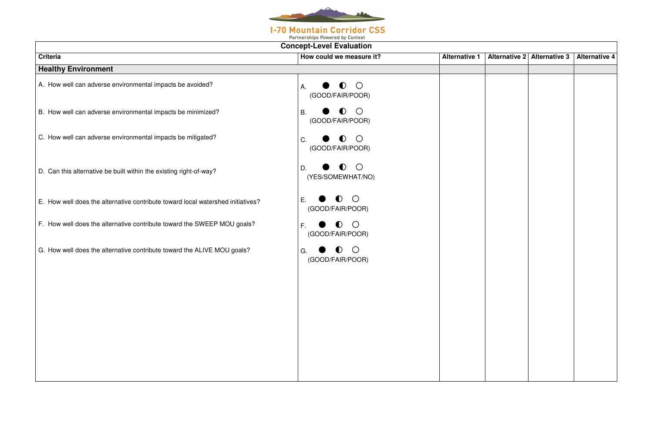

| $\overline{?}$ |  | Alternative 1 Alternative 2 Alternative 3 Alternative 4 |  |
|----------------|--|---------------------------------------------------------|--|
|                |  |                                                         |  |
|                |  |                                                         |  |
|                |  |                                                         |  |
|                |  |                                                         |  |
|                |  |                                                         |  |
|                |  |                                                         |  |
|                |  |                                                         |  |
|                |  |                                                         |  |
|                |  |                                                         |  |
|                |  |                                                         |  |
|                |  |                                                         |  |
|                |  |                                                         |  |
|                |  |                                                         |  |
|                |  |                                                         |  |
|                |  |                                                         |  |
|                |  |                                                         |  |
|                |  |                                                         |  |
|                |  |                                                         |  |
|                |  |                                                         |  |
|                |  |                                                         |  |
|                |  |                                                         |  |
|                |  |                                                         |  |
|                |  |                                                         |  |
|                |  |                                                         |  |
|                |  |                                                         |  |
|                |  |                                                         |  |
|                |  |                                                         |  |

| <b>Concept-Level Evaluation</b>                                                 |                                                                  |                      |  |  |
|---------------------------------------------------------------------------------|------------------------------------------------------------------|----------------------|--|--|
| <b>Criteria</b>                                                                 | How could we measure it?                                         | <b>Alternative 1</b> |  |  |
| <b>Healthy Environment</b>                                                      |                                                                  |                      |  |  |
| A. How well can adverse environmental impacts be avoided?                       | $\bigcirc$<br>$\bullet$<br>Α.<br>(GOOD/FAIR/POOR)                |                      |  |  |
| B. How well can adverse environmental impacts be minimized?                     | $\left( \ \right)$<br><b>B.</b><br>$\bullet$<br>(GOOD/FAIR/POOR) |                      |  |  |
| C. How well can adverse environmental impacts be mitigated?                     | $\bigcirc$<br>C.<br>$\bullet$<br>(GOOD/FAIR/POOR)                |                      |  |  |
| D. Can this alternative be built within the existing right-of-way?              | $\bigcirc$<br>$\bullet$<br>D.<br>(YES/SOMEWHAT/NO)               |                      |  |  |
| E. How well does the alternative contribute toward local watershed initiatives? | $\bigcirc$<br>$\bullet$<br>E<br>(GOOD/FAIR/POOR)                 |                      |  |  |
| F. How well does the alternative contribute toward the SWEEP MOU goals?         | $\bigcirc$<br>F.<br>$\bullet$<br>(GOOD/FAIR/POOR)                |                      |  |  |
| G. How well does the alternative contribute toward the ALIVE MOU goals?         | $\left( \right)$<br>( )<br>G.<br>(GOOD/FAIR/POOR)                |                      |  |  |
|                                                                                 |                                                                  |                      |  |  |
|                                                                                 |                                                                  |                      |  |  |
|                                                                                 |                                                                  |                      |  |  |
|                                                                                 |                                                                  |                      |  |  |
|                                                                                 |                                                                  |                      |  |  |
|                                                                                 |                                                                  |                      |  |  |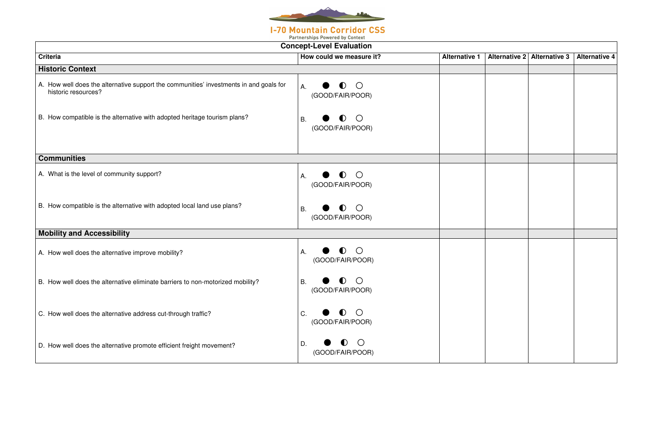

**Partnerships Powered by Context** 

| ? |  | Alternative 1 Alternative 2 Alternative 3 Alternative 4 |  |
|---|--|---------------------------------------------------------|--|
|   |  |                                                         |  |
|   |  |                                                         |  |
|   |  |                                                         |  |
|   |  |                                                         |  |
|   |  |                                                         |  |
|   |  |                                                         |  |
|   |  |                                                         |  |
|   |  |                                                         |  |
|   |  |                                                         |  |
|   |  |                                                         |  |
|   |  |                                                         |  |
|   |  |                                                         |  |
|   |  |                                                         |  |
|   |  |                                                         |  |
|   |  |                                                         |  |
|   |  |                                                         |  |
|   |  |                                                         |  |
|   |  |                                                         |  |
|   |  |                                                         |  |
|   |  |                                                         |  |
|   |  |                                                         |  |
|   |  |                                                         |  |
|   |  |                                                         |  |
|   |  |                                                         |  |
|   |  |                                                         |  |
|   |  |                                                         |  |
|   |  |                                                         |  |

|                                                                                                               | <b>Concept-Level Evaluation</b>                               |                      |
|---------------------------------------------------------------------------------------------------------------|---------------------------------------------------------------|----------------------|
| <b>Criteria</b>                                                                                               | How could we measure it?                                      | <b>Alternative 1</b> |
| <b>Historic Context</b>                                                                                       |                                                               |                      |
| A. How well does the alternative support the communities' investments in and goals for<br>historic resources? | $\left( \right)$<br>Α.<br>. )<br>(GOOD/FAIR/POOR)             |                      |
| B. How compatible is the alternative with adopted heritage tourism plans?                                     | $\left( \right)$<br><b>B.</b><br>. )<br>(GOOD/FAIR/POOR)      |                      |
| <b>Communities</b>                                                                                            |                                                               |                      |
| A. What is the level of community support?                                                                    | $\left(\right)$<br>U)<br>Α.<br>(GOOD/FAIR/POOR)               |                      |
| B. How compatible is the alternative with adopted local land use plans?                                       | $\bigcirc$<br><b>B.</b><br>$\blacksquare$<br>(GOOD/FAIR/POOR) |                      |
| <b>Mobility and Accessibility</b>                                                                             |                                                               |                      |
| A. How well does the alternative improve mobility?                                                            | $\bigcirc$<br>Α.<br>(GOOD/FAIR/POOR)                          |                      |
| B. How well does the alternative eliminate barriers to non-motorized mobility?                                | $\bullet$<br>$\bigcirc$<br>Β.<br>(GOOD/FAIR/POOR)             |                      |
| C. How well does the alternative address cut-through traffic?                                                 | $\left( \right)$<br>C.<br>U)<br>(GOOD/FAIR/POOR)              |                      |
| D. How well does the alternative promote efficient freight movement?                                          | D.<br>(GOOD/FAIR/POOR)                                        |                      |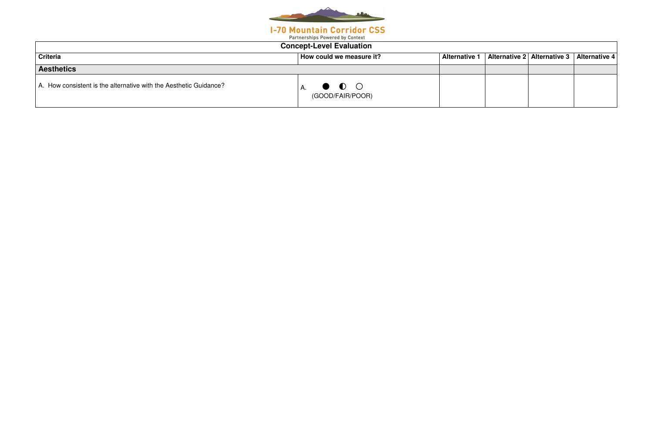

| <b>Concept-Level Evaluation</b>                                   |                                                 |                      |  |                             |                      |  |
|-------------------------------------------------------------------|-------------------------------------------------|----------------------|--|-----------------------------|----------------------|--|
| <b>Criteria</b>                                                   | How could we measure it?                        | <b>Alternative 1</b> |  | Alternative 2 Alternative 3 | <b>Alternative 4</b> |  |
| <b>Aesthetics</b>                                                 |                                                 |                      |  |                             |                      |  |
| A. How consistent is the alternative with the Aesthetic Guidance? | $\bullet$ $\bullet$ $\circ$<br>(GOOD/FAIR/POOR) |                      |  |                             |                      |  |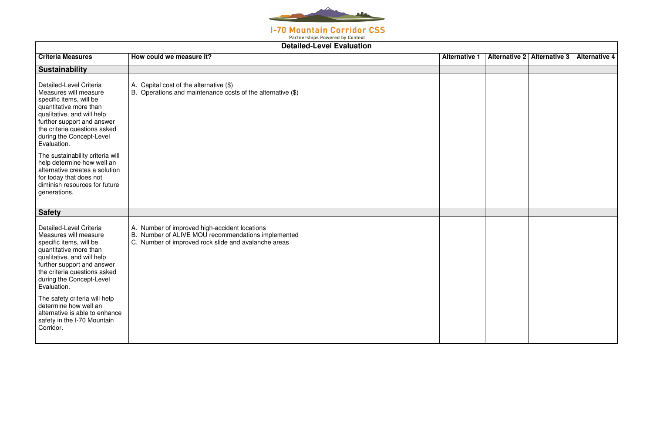

| <b>Criteria Measures</b>                                                                                                                                                                                                                     | How could we measure it?                                                                                                                                    | <b>Alternative 1</b> | Alternative 2 | <b>Alternative 3</b> | <b>Alternative 4</b> |
|----------------------------------------------------------------------------------------------------------------------------------------------------------------------------------------------------------------------------------------------|-------------------------------------------------------------------------------------------------------------------------------------------------------------|----------------------|---------------|----------------------|----------------------|
|                                                                                                                                                                                                                                              |                                                                                                                                                             |                      |               |                      |                      |
| <b>Sustainability</b>                                                                                                                                                                                                                        |                                                                                                                                                             |                      |               |                      |                      |
| Detailed-Level Criteria<br>Measures will measure<br>specific items, will be<br>quantitative more than<br>qualitative, and will help<br>further support and answer<br>the criteria questions asked<br>during the Concept-Level<br>Evaluation. | A. Capital cost of the alternative $(\$)$<br>B. Operations and maintenance costs of the alternative (\$)                                                    |                      |               |                      |                      |
| The sustainability criteria will<br>help determine how well an<br>alternative creates a solution<br>for today that does not<br>diminish resources for future<br>generations.                                                                 |                                                                                                                                                             |                      |               |                      |                      |
| <b>Safety</b>                                                                                                                                                                                                                                |                                                                                                                                                             |                      |               |                      |                      |
| Detailed-Level Criteria<br>Measures will measure<br>specific items, will be<br>quantitative more than<br>qualitative, and will help<br>further support and answer<br>the criteria questions asked<br>during the Concept-Level<br>Evaluation. | A. Number of improved high-accident locations<br>B. Number of ALIVE MOU recommendations implemented<br>C. Number of improved rock slide and avalanche areas |                      |               |                      |                      |
| The safety criteria will help<br>determine how well an<br>alternative is able to enhance<br>safety in the I-70 Mountain<br>Corridor.                                                                                                         |                                                                                                                                                             |                      |               |                      |                      |

|  | Alternative 2 Alternative 3 Alternative 4 |  |
|--|-------------------------------------------|--|
|  |                                           |  |
|  |                                           |  |
|  |                                           |  |
|  |                                           |  |
|  |                                           |  |
|  |                                           |  |
|  |                                           |  |
|  |                                           |  |
|  |                                           |  |
|  |                                           |  |
|  |                                           |  |
|  |                                           |  |
|  |                                           |  |
|  |                                           |  |
|  |                                           |  |
|  |                                           |  |
|  |                                           |  |
|  |                                           |  |
|  |                                           |  |
|  |                                           |  |
|  |                                           |  |
|  |                                           |  |
|  |                                           |  |
|  |                                           |  |
|  |                                           |  |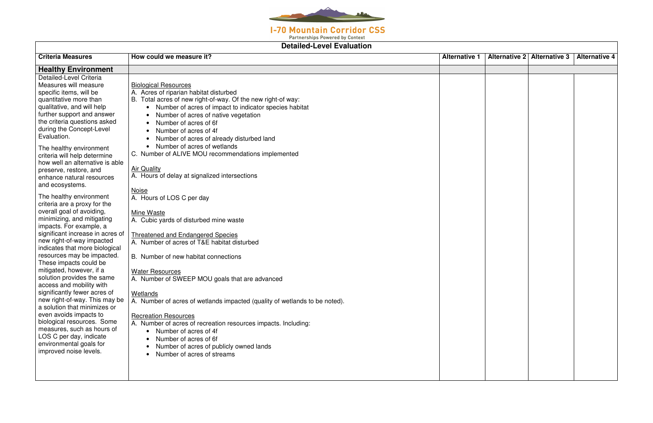

Partnerships Powered by Context

| Delaneu-Level Lydiualion         |                                                                            |                      |  |                             |                      |  |
|----------------------------------|----------------------------------------------------------------------------|----------------------|--|-----------------------------|----------------------|--|
| <b>Criteria Measures</b>         | How could we measure it?                                                   | <b>Alternative 1</b> |  | Alternative 2 Alternative 3 | <b>Alternative 4</b> |  |
| <b>Healthy Environment</b>       |                                                                            |                      |  |                             |                      |  |
| Detailed-Level Criteria          |                                                                            |                      |  |                             |                      |  |
| Measures will measure            | <b>Biological Resources</b>                                                |                      |  |                             |                      |  |
| specific items, will be          | A. Acres of riparian habitat disturbed                                     |                      |  |                             |                      |  |
| quantitative more than           | B. Total acres of new right-of-way. Of the new right-of way:               |                      |  |                             |                      |  |
| qualitative, and will help       | • Number of acres of impact to indicator species habitat                   |                      |  |                             |                      |  |
| further support and answer       | Number of acres of native vegetation                                       |                      |  |                             |                      |  |
| the criteria questions asked     | Number of acres of 6f                                                      |                      |  |                             |                      |  |
| during the Concept-Level         | Number of acres of 4f                                                      |                      |  |                             |                      |  |
| Evaluation.                      | Number of acres of already disturbed land                                  |                      |  |                             |                      |  |
| The healthy environment          | Number of acres of wetlands<br>$\bullet$                                   |                      |  |                             |                      |  |
| criteria will help determine     | C. Number of ALIVE MOU recommendations implemented                         |                      |  |                             |                      |  |
| how well an alternative is able  |                                                                            |                      |  |                             |                      |  |
| preserve, restore, and           | <b>Air Quality</b>                                                         |                      |  |                             |                      |  |
| enhance natural resources        | A. Hours of delay at signalized intersections                              |                      |  |                             |                      |  |
| and ecosystems.                  |                                                                            |                      |  |                             |                      |  |
| The healthy environment          | <b>Noise</b>                                                               |                      |  |                             |                      |  |
| criteria are a proxy for the     | A. Hours of LOS C per day                                                  |                      |  |                             |                      |  |
| overall goal of avoiding,        |                                                                            |                      |  |                             |                      |  |
| minimizing, and mitigating       | Mine Waste<br>A. Cubic yards of disturbed mine waste                       |                      |  |                             |                      |  |
| impacts. For example, a          |                                                                            |                      |  |                             |                      |  |
| significant increase in acres of | <b>Threatened and Endangered Species</b>                                   |                      |  |                             |                      |  |
| new right-of-way impacted        | A. Number of acres of T&E habitat disturbed                                |                      |  |                             |                      |  |
| indicates that more biological   |                                                                            |                      |  |                             |                      |  |
| resources may be impacted.       | B. Number of new habitat connections                                       |                      |  |                             |                      |  |
| These impacts could be           |                                                                            |                      |  |                             |                      |  |
| mitigated, however, if a         | <b>Water Resources</b>                                                     |                      |  |                             |                      |  |
| solution provides the same       | A. Number of SWEEP MOU goals that are advanced                             |                      |  |                             |                      |  |
| access and mobility with         |                                                                            |                      |  |                             |                      |  |
| significantly fewer acres of     | Wetlands                                                                   |                      |  |                             |                      |  |
| new right-of-way. This may be    | A. Number of acres of wetlands impacted (quality of wetlands to be noted). |                      |  |                             |                      |  |
| a solution that minimizes or     |                                                                            |                      |  |                             |                      |  |
| even avoids impacts to           | <b>Recreation Resources</b>                                                |                      |  |                             |                      |  |
| biological resources. Some       | A. Number of acres of recreation resources impacts. Including:             |                      |  |                             |                      |  |
| measures, such as hours of       | • Number of acres of 4f                                                    |                      |  |                             |                      |  |
| LOS C per day, indicate          | Number of acres of 6f                                                      |                      |  |                             |                      |  |
| environmental goals for          | Number of acres of publicly owned lands                                    |                      |  |                             |                      |  |
| improved noise levels.           | Number of acres of streams                                                 |                      |  |                             |                      |  |
|                                  |                                                                            |                      |  |                             |                      |  |
|                                  |                                                                            |                      |  |                             |                      |  |
|                                  |                                                                            |                      |  |                             |                      |  |

|  | Alternative 2 Alternative 3 Alternative 4 |  |
|--|-------------------------------------------|--|
|  |                                           |  |
|  |                                           |  |
|  |                                           |  |
|  |                                           |  |
|  |                                           |  |
|  |                                           |  |
|  |                                           |  |
|  |                                           |  |
|  |                                           |  |
|  |                                           |  |
|  |                                           |  |
|  |                                           |  |
|  |                                           |  |
|  |                                           |  |
|  |                                           |  |
|  |                                           |  |
|  |                                           |  |
|  |                                           |  |
|  |                                           |  |
|  |                                           |  |
|  |                                           |  |
|  |                                           |  |
|  |                                           |  |
|  |                                           |  |
|  |                                           |  |
|  |                                           |  |
|  |                                           |  |
|  |                                           |  |
|  |                                           |  |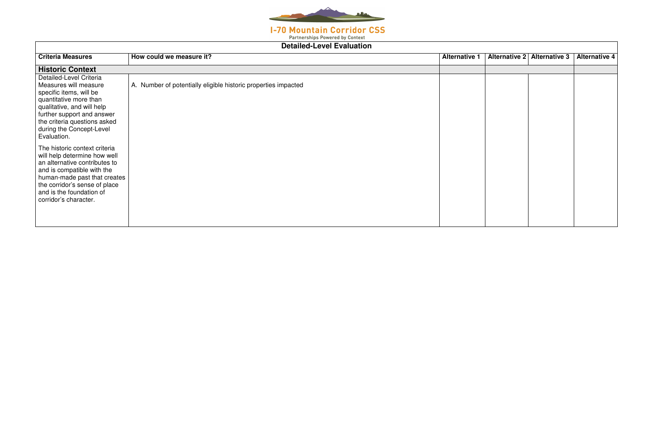

**Partnerships Powered by Context** 

| Detailed-Level Evaluation                                                                                                                                                                                                                          |                                                                |                      |               |                      |                      |  |  |
|----------------------------------------------------------------------------------------------------------------------------------------------------------------------------------------------------------------------------------------------------|----------------------------------------------------------------|----------------------|---------------|----------------------|----------------------|--|--|
| <b>Criteria Measures</b>                                                                                                                                                                                                                           | How could we measure it?                                       | <b>Alternative 1</b> | Alternative 2 | <b>Alternative 3</b> | <b>Alternative 4</b> |  |  |
| <b>Historic Context</b>                                                                                                                                                                                                                            |                                                                |                      |               |                      |                      |  |  |
| Detailed-Level Criteria<br>Measures will measure<br>specific items, will be<br>quantitative more than<br>qualitative, and will help<br>further support and answer<br>the criteria questions asked<br>during the Concept-Level<br>Evaluation.       | A. Number of potentially eligible historic properties impacted |                      |               |                      |                      |  |  |
| The historic context criteria<br>will help determine how well<br>an alternative contributes to<br>and is compatible with the<br>human-made past that creates<br>the corridor's sense of place<br>and is the foundation of<br>corridor's character. |                                                                |                      |               |                      |                      |  |  |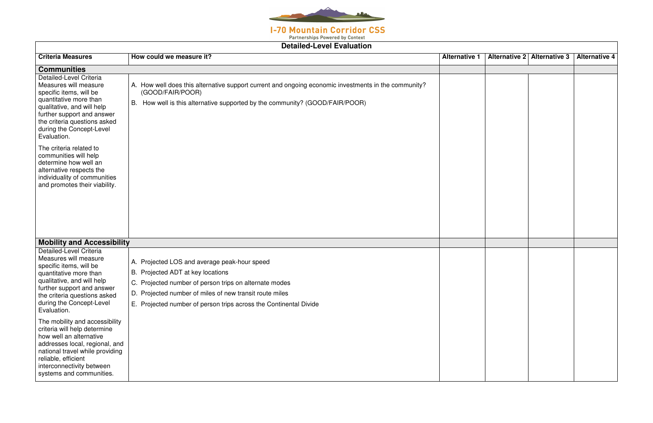

**Partnerships Powered by Context** 

| <b>Detailed-Level Evaluation</b>                                                                                                                                                                                                               |                                                                                                                                                                                                                                                                             |                      |                      |                      |                      |  |  |
|------------------------------------------------------------------------------------------------------------------------------------------------------------------------------------------------------------------------------------------------|-----------------------------------------------------------------------------------------------------------------------------------------------------------------------------------------------------------------------------------------------------------------------------|----------------------|----------------------|----------------------|----------------------|--|--|
| <b>Criteria Measures</b>                                                                                                                                                                                                                       | How could we measure it?                                                                                                                                                                                                                                                    | <b>Alternative 1</b> | <b>Alternative 2</b> | <b>Alternative 3</b> | <b>Alternative 4</b> |  |  |
| <b>Communities</b>                                                                                                                                                                                                                             |                                                                                                                                                                                                                                                                             |                      |                      |                      |                      |  |  |
| Detailed-Level Criteria<br>Measures will measure<br>specific items, will be<br>quantitative more than<br>qualitative, and will help<br>further support and answer<br>the criteria questions asked<br>during the Concept-Level<br>Evaluation.   | A. How well does this alternative support current and ongoing economic investments in the community?<br>(GOOD/FAIR/POOR)<br>B. How well is this alternative supported by the community? (GOOD/FAIR/POOR)                                                                    |                      |                      |                      |                      |  |  |
| The criteria related to<br>communities will help<br>determine how well an<br>alternative respects the<br>individuality of communities<br>and promotes their viability.                                                                         |                                                                                                                                                                                                                                                                             |                      |                      |                      |                      |  |  |
| <b>Mobility and Accessibility</b>                                                                                                                                                                                                              |                                                                                                                                                                                                                                                                             |                      |                      |                      |                      |  |  |
| Detailed-Level Criteria<br>Measures will measure<br>specific items, will be<br>quantitative more than<br>qualitative, and will help<br>further support and answer<br>the criteria questions asked<br>during the Concept-Level<br>Evaluation.   | A. Projected LOS and average peak-hour speed<br>B. Projected ADT at key locations<br>C. Projected number of person trips on alternate modes<br>D. Projected number of miles of new transit route miles<br>E. Projected number of person trips across the Continental Divide |                      |                      |                      |                      |  |  |
| The mobility and accessibility<br>criteria will help determine<br>how well an alternative<br>addresses local, regional, and<br>national travel while providing<br>reliable, efficient<br>interconnectivity between<br>systems and communities. |                                                                                                                                                                                                                                                                             |                      |                      |                      |                      |  |  |